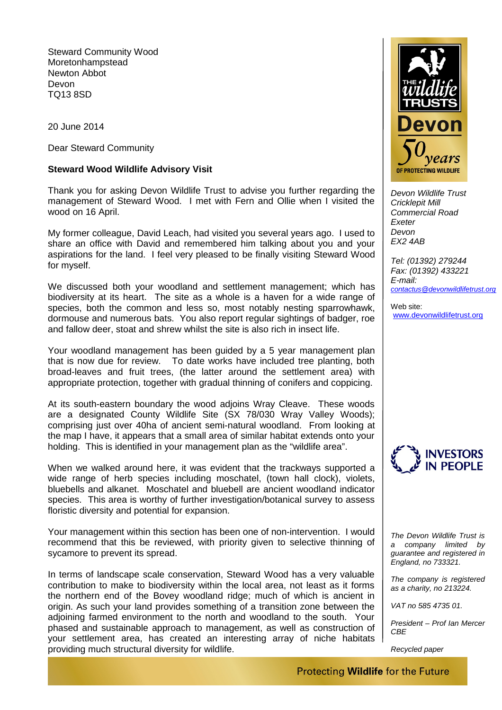Steward Community Wood Moretonhampstead Newton Abbot Devon TQ13 8SD

20 June 2014

Dear Steward Community

## **Steward Wood Wildlife Advisory Visit**

Thank you for asking Devon Wildlife Trust to advise you further regarding the management of Steward Wood. I met with Fern and Ollie when I visited the wood on 16 April.

My former colleague, David Leach, had visited you several years ago. I used to share an office with David and remembered him talking about you and your aspirations for the land. I feel very pleased to be finally visiting Steward Wood for myself.

We discussed both your woodland and settlement management; which has biodiversity at its heart. The site as a whole is a haven for a wide range of species, both the common and less so, most notably nesting sparrowhawk, dormouse and numerous bats. You also report regular sightings of badger, roe and fallow deer, stoat and shrew whilst the site is also rich in insect life.

Your woodland management has been guided by a 5 year management plan that is now due for review. To date works have included tree planting, both broad-leaves and fruit trees, (the latter around the settlement area) with appropriate protection, together with gradual thinning of conifers and coppicing.

At its south-eastern boundary the wood adjoins Wray Cleave. These woods are a designated County Wildlife Site (SX 78/030 Wray Valley Woods); comprising just over 40ha of ancient semi-natural woodland. From looking at the map I have, it appears that a small area of similar habitat extends onto your holding. This is identified in your management plan as the "wildlife area".

When we walked around here, it was evident that the trackways supported a wide range of herb species including moschatel, (town hall clock), violets, bluebells and alkanet. Moschatel and bluebell are ancient woodland indicator species. This area is worthy of further investigation/botanical survey to assess floristic diversity and potential for expansion.

Your management within this section has been one of non-intervention. I would recommend that this be reviewed, with priority given to selective thinning of sycamore to prevent its spread.

In terms of landscape scale conservation, Steward Wood has a very valuable contribution to make to biodiversity within the local area, not least as it forms the northern end of the Bovey woodland ridge; much of which is ancient in origin. As such your land provides something of a transition zone between the adjoining farmed environment to the north and woodland to the south. Your phased and sustainable approach to management, as well as construction of your settlement area, has created an interesting array of niche habitats providing much structural diversity for wildlife.



*Devon Wildlife Trust Cricklepit Mill Commercial Road Exeter Devon EX2 4AB*

*Tel: (01392) 279244 Fax: (01392) 433221 E-mail: [contactus@devonwildlifetrust.org](mailto:contactus@devonwildlifetrust.org)*

Weh site: [www.devonwildlifetrust.org](http://www.devonwildlifetrust.org/)



*The Devon Wildlife Trust is a company limited by guarantee and registered in England, no 733321.*

*The company is registered as a charity, no 213224.*

*VAT no 585 4735 01.*

*President – Prof Ian Mercer CBE*

*Recycled paper*